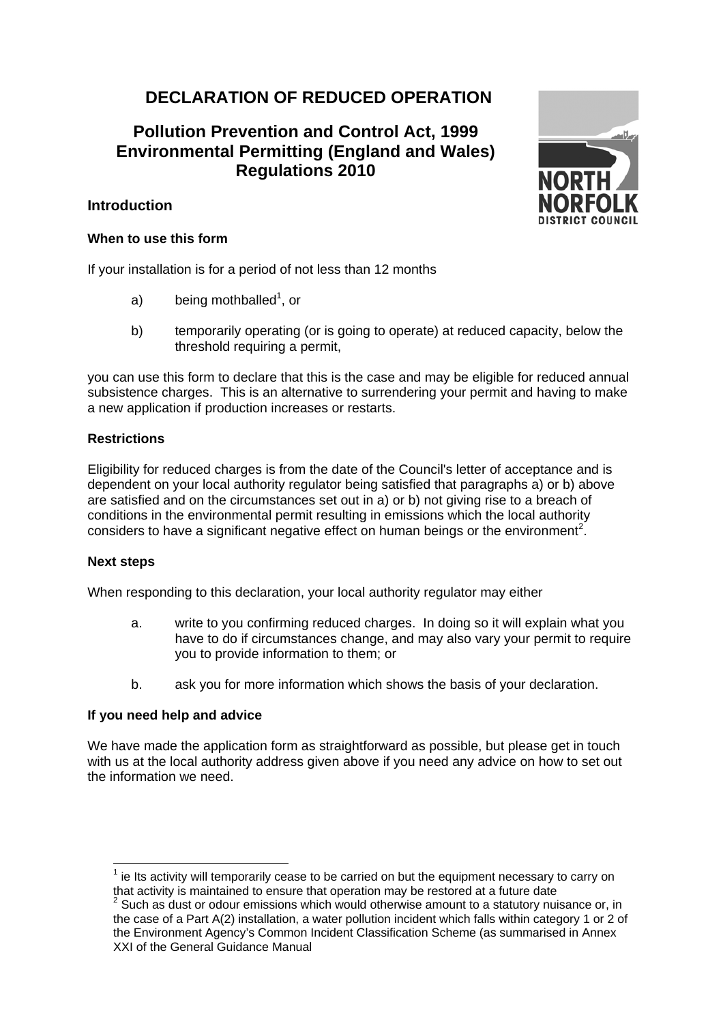# **DECLARATION OF REDUCED OPERATION**

## **Pollution Prevention and Control Act, 1999 Environmental Permitting (England and Wales) Regulations 2010**

## **Introduction**

## **When to use this form**

If your installation is for a period of not less than 12 months

- a) being mothballed<sup>1</sup>, or
- b) temporarily operating (or is going to operate) at reduced capacity, below the threshold requiring a permit,

you can use this form to declare that this is the case and may be eligible for reduced annual subsistence charges. This is an alternative to surrendering your permit and having to make a new application if production increases or restarts.

## **Restrictions**

Eligibility for reduced charges is from the date of the Council's letter of acceptance and is dependent on your local authority regulator being satisfied that paragraphs a) or b) above are satisfied and on the circumstances set out in a) or b) not giving rise to a breach of conditions in the environmental permit resulting in emissions which the local authority considers to have a significant negative effect on human beings or the environment<sup>2</sup>.

#### **Next steps**

l

When responding to this declaration, your local authority regulator may either

- a. write to you confirming reduced charges. In doing so it will explain what you have to do if circumstances change, and may also vary your permit to require you to provide information to them; or
- b. ask you for more information which shows the basis of your declaration.

#### **If you need help and advice**

We have made the application form as straightforward as possible, but please get in touch with us at the local authority address given above if you need any advice on how to set out the information we need.



 $1$  ie Its activity will temporarily cease to be carried on but the equipment necessary to carry on that activity is maintained to ensure that operation may be restored at a future date 2

 $2$  Such as dust or odour emissions which would otherwise amount to a statutory nuisance or, in the case of a Part A(2) installation, a water pollution incident which falls within category 1 or 2 of the Environment Agency's Common Incident Classification Scheme (as summarised in Annex XXI of the General Guidance Manual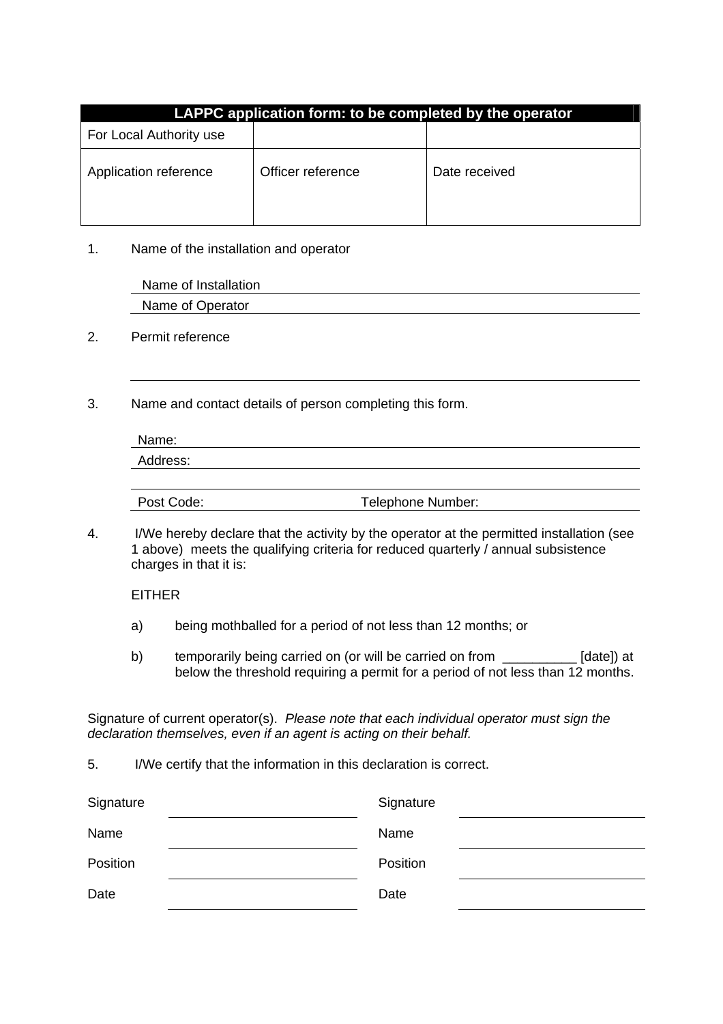| LAPPC application form: to be completed by the operator |                   |               |  |  |  |
|---------------------------------------------------------|-------------------|---------------|--|--|--|
| For Local Authority use                                 |                   |               |  |  |  |
| Application reference                                   | Officer reference | Date received |  |  |  |

1. Name of the installation and operator

| Name of Installation |  |  |
|----------------------|--|--|
| Name of Operator     |  |  |

- 2. Permit reference
- 3. Name and contact details of person completing this form.

| Name:      |                   |  |
|------------|-------------------|--|
| Address:   |                   |  |
|            |                   |  |
| Post Code: | Telephone Number: |  |

4. I/We hereby declare that the activity by the operator at the permitted installation (see 1 above) meets the qualifying criteria for reduced quarterly / annual subsistence charges in that it is:

EITHER

- a) being mothballed for a period of not less than 12 months; or
- b) temporarily being carried on (or will be carried on from \_\_\_\_\_\_\_\_\_\_ [date]) at below the threshold requiring a permit for a period of not less than 12 months.

Signature of current operator(s). *Please note that each individual operator must sign the declaration themselves, even if an agent is acting on their behalf.* 

5. I/We certify that the information in this declaration is correct.

| Signature | Signature |  |
|-----------|-----------|--|
| Name      | Name      |  |
| Position  | Position  |  |
| Date      | Date      |  |